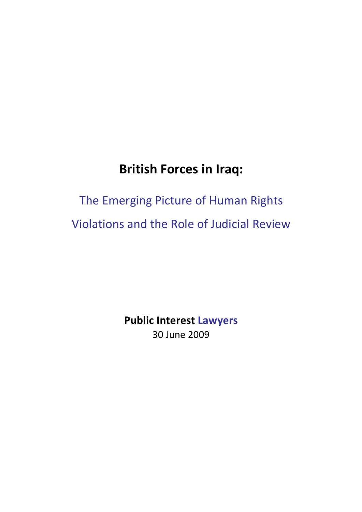# **British Forces in Iraq:**

# The Emerging Picture of Human Rights Violations and the Role of Judicial Review

**Public Interest Lawyers** 30 June 2009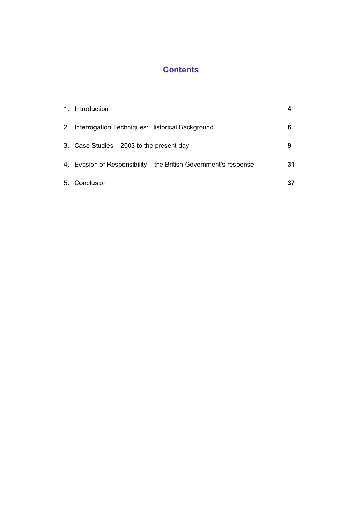### **Contents**

| 1. | Introduction                                                     |    |
|----|------------------------------------------------------------------|----|
|    | 2. Interrogation Techniques: Historical Background               | 6  |
|    | 3. Case Studies – 2003 to the present day                        | 9  |
|    | 4. Evasion of Responsibility – the British Government's response | 31 |
|    | 5. Conclusion                                                    | 37 |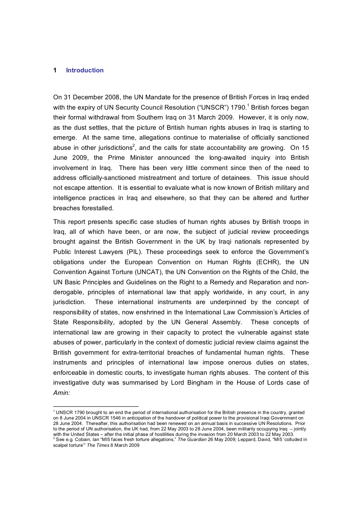#### **1 Introduction**

On 31 December 2008, the UN Mandate for the presence of British Forces in Iraq ended with the expiry of UN Security Council Resolution ("UNSCR") 1790.<sup>1</sup> British forces began their formal withdrawal from Southern Iraq on 31 March 2009. However, it is only now, as the dust settles, that the picture of British human rights abuses in Iraq is starting to emerge. At the same time, allegations continue to materialise of officially sanctioned abuse in other jurisdictions<sup>2</sup>, and the calls for state accountability are growing. On 15 June 2009, the Prime Minister announced the long-awaited inquiry into British involvement in Iraq. There has been very little comment since then of the need to address officiallysanctioned mistreatment and torture of detainees. This issue should not escape attention. It is essential to evaluate what is now known of British military and intelligence practices in Iraq and elsewhere, so that they can be altered and further breaches forestalled.

This report presents specific case studies of human rights abuses by British troops in Iraq, all of which have been, or are now, the subject of judicial review proceedings brought against the British Government in the UK by Iraqi nationals represented by Public Interest Lawyers (PIL). These proceedings seek to enforce the Government's obligations under the European Convention on Human Rights (ECHR), the UN Convention Against Torture (UNCAT), the UN Convention on the Rights of the Child, the UN Basic Principles and Guidelines on the Right to a Remedy and Reparation and non derogable, principles of international law that apply worldwide, in any court, in any jurisdiction. These international instruments are underpinned by the concept of responsibility of states, now enshrined in the International Law Commission's Articles of State Responsibility, adopted by the UN General Assembly. These concepts of international law are growing in their capacity to protect the vulnerable against state abuses of power, particularly in the context of domestic judicial review claims against the British government for extra-territorial breaches of fundamental human rights. These instruments and principles of international law impose onerous duties on states, enforceable in domestic courts, to investigate human rights abuses. The content of this investigative duty was summarised by Lord Bingham in the House of Lords case of *Amin:*

 $1$  UNSCR 1790 brought to an end the period of international authorisation for the British presence in the country, granted on 8 June 2004 in UNSCR 1546 in anticipation of the handover of political power to the provisional Iraqi Government on 28 June 2004. Thereafter, this authorisation had been renewed on an annual basis in successive UN Resolutions. Prior to the period of UN authorisation, the UK had, from 22 May 2003 to 28 June 2004, been militarily occupying Iraq – jointly with the United States – after the initial phase of hostilities during the invasion from 20 March 2003 to 22 May 2003.<br><sup>2</sup> See e.g. Cobain, Ian "MI5 faces fresh torture allegations," The Guardian 26 May 2009; Leppard, Davi scalpel torture'" *The Times* 8 March 2009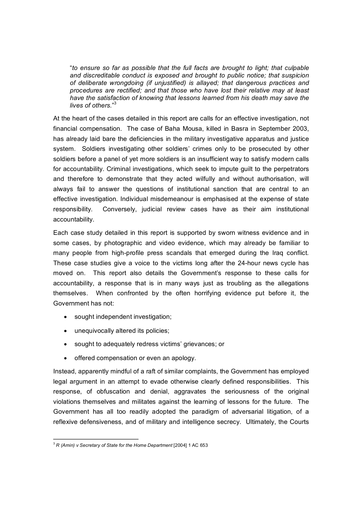"*to ensure so far as possible that the full facts are brought to light; that culpable and discreditable conduct is exposed and brought to public notice; that suspicion of deliberate wrongdoing (if unjustified) is allayed; that dangerous practices and procedures are rectified; and that those who have lost their relative may at least have the satisfaction of knowing that lessons learned from his death may save the lives of others*."<sup>3</sup>

At the heart of the cases detailed in this report are calls for an effective investigation, not financial compensation. The case of Baha Mousa, killed in Basra in September 2003, has already laid bare the deficiencies in the military investigative apparatus and justice system. Soldiers investigating other soldiers' crimes only to be prosecuted by other soldiers before a panel of yet more soldiers is an insufficient way to satisfy modern calls for accountability. Criminal investigations, which seek to impute guilt to the perpetrators and therefore to demonstrate that they acted wilfully and without authorisation, will always fail to answer the questions of institutional sanction that are central to an effective investigation. Individual misdemeanour is emphasised at the expense of state responsibility. Conversely, judicial review cases have as their aim institutional accountability.

Each case study detailed in this report is supported by sworn witness evidence and in some cases, by photographic and video evidence, which may already be familiar to many people from high-profile press scandals that emerged during the Iraq conflict. These case studies give a voice to the victims long after the 24-hour news cycle has moved on. This report also details the Government's response to these calls for accountability, a response that is in many ways just as troubling as the allegations themselves. When confronted by the often horrifying evidence put before it, the Government has not:

- · sought independent investigation;
- · unequivocally altered its policies;
- · sought to adequately redress victims' grievances; or
- · offered compensation or even an apology.

Instead, apparently mindful of a raft of similar complaints, the Government has employed legal argument in an attempt to evade otherwise clearly defined responsibilities. This response, of obfuscation and denial, aggravates the seriousness of the original violations themselves and militates against the learning of lessons for the future. The Government has all too readily adopted the paradigm of adversarial litigation, of a reflexive defensiveness, and of military and intelligence secrecy. Ultimately, the Courts

<sup>3</sup> *R (Amin) v Secretary of State for the Home Department* [2004] 1 AC 653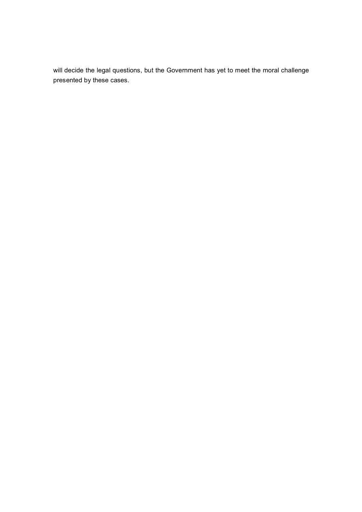will decide the legal questions, but the Government has yet to meet the moral challenge presented by these cases.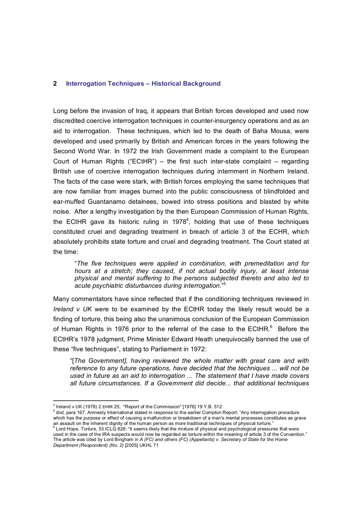#### **2 Interrogation Techniques – Historical Background**

Long before the invasion of Iraq, it appears that British forces developed and used now discredited coercive interrogation techniques in counter-insurgency operations and as an aid to interrogation. These techniques, which led to the death of Baha Mousa, were developed and used primarily by British and American forces in the years following the Second World War. In 1972 the Irish Government made a complaint to the European Court of Human Rights ("ECtHR") – the first such inter-state complaint  $-$  regarding British use of coercive interrogation techniques during internment in Northern Ireland. The facts of the case were stark, with British forces employing the same techniques that are now familiar from images burned into the public consciousness of blindfolded and ear-muffed Guantanamo detainees, bowed into stress positions and blasted by white noise. After a lengthy investigation by the then European Commission of Human Rights, the ECtHR gave its historic ruling in 1978<sup>4</sup>, holding that use of these techniques constituted cruel and degrading treatment in breach of article 3 of the ECHR, which absolutely prohibits state torture and cruel and degrading treatment. The Court stated at the time:

"*The five techniques were applied in combination, with premeditation and for hours at a stretch; they caused, if not actual bodily injury, at least intense physical and mental suffering to the persons subjected thereto and also led to acute psychiatric disturbances during interrogation*." <sup>5</sup>

Many commentators have since reflected that if the conditioning techniques reviewed in *Ireland v UK* were to be examined by the ECtHR today the likely result would be a finding of torture, this being also the unanimous conclusion of the European Commission of Human Rights in 1976 prior to the referral of the case to the  $ECHR<sup>6</sup>$  Before the ECtHR's 1978 judgment, Prime Minister Edward Heath unequivocally banned the use of these "five techniques", stating to Parliament in 1972:

"[*The Government], having reviewed the whole matter with great care and with reference to any future operations, have decided that the techniques ... will not be used in future as an aid to interrogation ... The statement that I have made covers all future circumstances. If a Government did decide... that additional techniques*

<sup>5</sup>ibid, para 167. Amnesty International stated in response to the earlier Compton Report: "Any interrogation procedure which has the purpose or effect of causing a malfunction or breakdown of a man's mental processes constitutes as grave an assault on the inherent dignity of the human person as more traditional techniques of physical torture."<br><sup>6</sup> Lord Hope, *Torture*, 53 ICLQ 826: "It seems likely that the mixture of physical and psychological pressures t

 $4$  Ireland v UK (1978) 2 EHRR 25; "Report of the Commission" [1976] 19 Y.B. 512

used in the case of the IRA suspects would now be regarded as torture within the meaning of article 3 of the Convention." The article was cited by Lord Bingham in *A (FC) and others (FC) (Appellants) v. Secretary of State for the Home Department (Respondent) (No. 2)* [2005] UKHL 71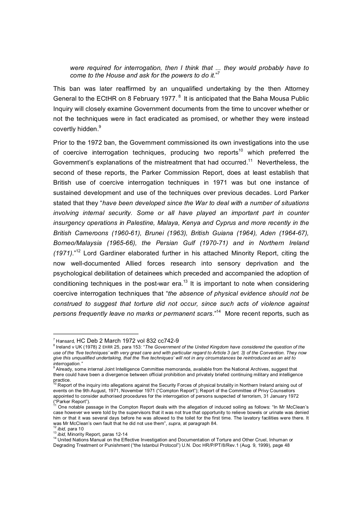*were required for interrogation, then I think that ... they would probably have to come to the House and ask for the powers to do it*."<sup>7</sup>

This ban was later reaffirmed by an unqualified undertaking by the then Attorney General to the ECtHR on 8 February 1977.<sup>8</sup> It is anticipated that the Baha Mousa Public Inquiry will closely examine Government documents from the time to uncover whether or not the techniques were in fact eradicated as promised, or whether they were instead covertly hidden.<sup>9</sup>

Prior to the 1972 ban, the Government commissioned its own investigations into the use of coercive interrogation techniques, producing two reports<sup>10</sup> which preferred the Government's explanations of the mistreatment that had occurred.<sup>11</sup> Nevertheless, the second of these reports, the Parker Commission Report, does at least establish that British use of coercive interrogation techniques in 1971 was but one instance of sustained development and use of the techniques over previous decades. Lord Parker stated that they "*have been developed since the War to deal with a number of situations involving internal security. Some or all have played an important part in counter insurgency operations in Palestine, Malaya, Kenya and Cyprus and more recently in the British Cameroons (196061), Brunei (1963), British Guiana (1964), Aden (196467), Borneo/Malaysia (196566), the Persian Gulf (197071) and in Northern Ireland (1971)*."<sup>12</sup> Lord Gardiner elaborated further in his attached Minority Report, citing the now well-documented Allied forces research into sensory deprivation and the psychological debilitation of detainees which preceded and accompanied the adoption of conditioning techniques in the post-war era. $^{13}$  It is important to note when considering coercive interrogation techniques that "*the absence of physical evidence should not be construed to suggest that torture did not occur, since such acts of violence against persons frequently leave no marks or permanent scars*."<sup>14</sup> More recent reports, such as

 $7$ Hansard, HC Deb 2 March 1972 vol 832 cc742-9

<sup>8</sup>Ireland v UK (1978) 2 EHRR 25, para 153: "*The Government of the United Kingdom have considered the question of the use of the 'five techniques' with very great care and with particular regard to Article 3 (art. 3) of the Convention. They now give this unqualified undertaking, that the 'five techniques' will not in any circumstances be reintroduced as an aid to* 

<sup>&</sup>lt;sup>9</sup> Already, some internal Joint Intelligence Committee memoranda, available from the National Archives, suggest that there could have been a divergence between official prohibition and privately briefed continuing military and intelligence

practice.<br><sup>10</sup> Report of the inquiry into allegations against the Security Forces of physical brutality in Northern Ireland arising out of events on the 9th August, 1971, November 1971 ("Compton Report"); Report of the Committee of Privy Counsellors appointed to consider authorised procedures for the interrogation of persons suspected of terrorism, 31 January 1972<br>("Parker Report").

One notable passage in the Compton Report deals with the allegation of induced soiling as follows: "In Mr McClean's case however we were told by the supervisors that it was not true that opportunity to relieve bowels or urinate was denied him or that it was several days before he was allowed to the toilet for the first time. The lavatory facilities were there. It was Mr McClean's own fault that he did not use them", *supra*, at paragraph 84.<br><sup>12</sup> *ibid*, para 10<br><sup>13</sup> *ibid*, Minority Report, paras 12-14<br><sup>14</sup> United Nations Manual on the Effective Investigation and Documentation of

Degrading Treatment or Punishment ("the Istanbul Protocol") U.N. Doc HR/P/PT/8/Rev.1 (Aug. 9, 1999), page 48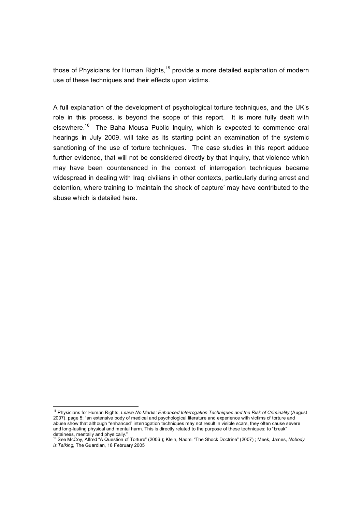those of Physicians for Human Rights, $15$  provide a more detailed explanation of modern use of these techniques and their effects upon victims.

A full explanation of the development of psychological torture techniques, and the UK's role in this process, is beyond the scope of this report. It is more fully dealt with elsewhere.<sup>16</sup> The Baha Mousa Public Inquiry, which is expected to commence oral hearings in July 2009, will take as its starting point an examination of the systemic sanctioning of the use of torture techniques. The case studies in this report adduce further evidence, that will not be considered directly by that Inquiry, that violence which may have been countenanced in the context of interrogation techniques became widespread in dealing with Iraqi civilians in other contexts, particularly during arrest and detention, where training to 'maintain the shock of capture' may have contributed to the abuse which is detailed here.

<sup>&</sup>lt;sup>15</sup> Physicians for Human Rights, Leave No Marks: Enhanced Interrogation Techniques and the Risk of Criminality (August 2007), page 5: "an extensive body of medical and psychological literature and experience with victims of torture and abuse show that although "enhanced" interrogation techniques may not result in visible scars, they often cause severe and long-lasting physical and mental harm. This is directly related to the purpose of these techniques: to "break" detainees, mentally and physically."<br><sup>16</sup> See McCoy, Alfred "A Question of Torture" (2006 ); Klein, Naomi "The Shock Doctrine" (2007) ; Meek, James, Nobody

*is Talking,* The Guardian, 18 February 2005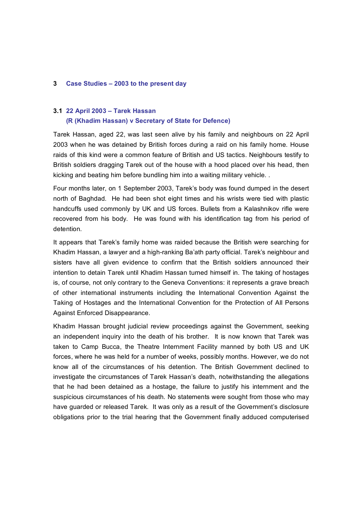#### **3 Case Studies – 2003 to the present day**

#### **3.1 22 April 2003 – Tarek Hassan**

#### **(R (Khadim Hassan) v Secretary of State for Defence)**

Tarek Hassan, aged 22, was last seen alive by his family and neighbours on 22 April 2003 when he was detained by British forces during a raid on his family home. House raids of this kind were a common feature of British and US tactics. Neighbours testify to British soldiers dragging Tarek out of the house with a hood placed over his head, then kicking and beating him before bundling him into a waiting military vehicle. .

Four months later, on 1 September 2003, Tarek's body was found dumped in the desert north of Baghdad. He had been shot eight times and his wrists were tied with plastic handcuffs used commonly by UK and US forces. Bullets from a Kalashnikov rifle were recovered from his body. He was found with his identification tag from his period of detention.

It appears that Tarek's family home was raided because the British were searching for Khadim Hassan, a lawyer and a high-ranking Ba'ath party official. Tarek's neighbour and sisters have all given evidence to confirm that the British soldiers announced their intention to detain Tarek until Khadim Hassan turned himself in. The taking of hostages is, of course, not only contrary to the Geneva Conventions: it represents a grave breach of other international instruments including the International Convention Against the Taking of Hostages and the International Convention for the Protection of All Persons Against Enforced Disappearance.

Khadim Hassan brought judicial review proceedings against the Government, seeking an independent inquiry into the death of his brother. It is now known that Tarek was taken to Camp Bucca, the Theatre Internment Facility manned by both US and UK forces, where he was held for a number of weeks, possibly months. However, we do not know all of the circumstances of his detention. The British Government declined to investigate the circumstances of Tarek Hassan's death, notwithstanding the allegations that he had been detained as a hostage, the failure to justify his internment and the suspicious circumstances of his death. No statements were sought from those who may have guarded or released Tarek. It was only as a result of the Government's disclosure obligations prior to the trial hearing that the Government finally adduced computerised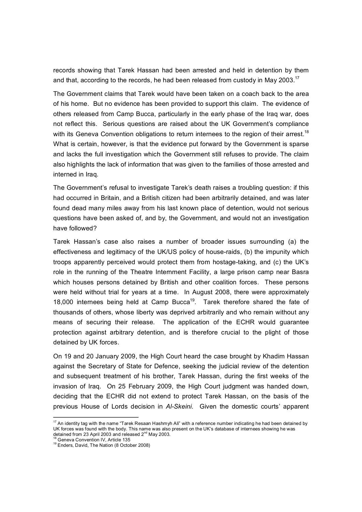records showing that Tarek Hassan had been arrested and held in detention by them and that, according to the records, he had been released from custody in May 2003.<sup>17</sup>

The Government claims that Tarek would have been taken on a coach back to the area of his home. But no evidence has been provided to support this claim. The evidence of others released from Camp Bucca, particularly in the early phase of the Iraq war, does not reflect this. Serious questions are raised about the UK Government's compliance with its Geneva Convention obligations to return internees to the region of their arrest.<sup>18</sup> What is certain, however, is that the evidence put forward by the Government is sparse and lacks the full investigation which the Government still refuses to provide. The claim also highlights the lack of information that was given to the families of those arrested and interned in Iraq.

The Government's refusal to investigate Tarek's death raises a troubling question: if this had occurred in Britain, and a British citizen had been arbitrarily detained, and was later found dead many miles away from his last known place of detention, would not serious questions have been asked of, and by, the Government, and would not an investigation have followed?

Tarek Hassan's case also raises a number of broader issues surrounding (a) the effectiveness and legitimacy of the UK/US policy of houseraids, (b) the impunity which troops apparently perceived would protect them from hostage-taking, and (c) the UK's role in the running of the Theatre Internment Facility, a large prison camp near Basra which houses persons detained by British and other coalition forces. These persons were held without trial for years at a time. In August 2008, there were approximately 18,000 internees being held at Camp Bucca<sup>19</sup>. Tarek therefore shared the fate of thousands of others, whose liberty was deprived arbitrarily and who remain without any means of securing their release. The application of the ECHR would guarantee protection against arbitrary detention, and is therefore crucial to the plight of those detained by UK forces.

On 19 and 20 January 2009, the High Court heard the case brought by Khadim Hassan against the Secretary of State for Defence, seeking the judicial review of the detention and subsequent treatment of his brother, Tarek Hassan, during the first weeks of the invasion of Iraq. On 25 February 2009, the High Court judgment was handed down, deciding that the ECHR did not extend to protect Tarek Hassan, on the basis of the previous House of Lords decision in *AlSkeini*. Given the domestic courts' apparent

 $17$  An identity tag with the name "Tarek Resaan Hashmyh Ali" with a reference number indicating he had been detained by UK forces was found with the body. This name was also present on the UK's database of internees showing he was detained from 23 April 2003 and released 2<sup>nd</sup> May 2003.<br><sup>18</sup> Geneva Convention IV, Article 135<br><sup>19</sup> Enders, David, The Nation (8 October 2008)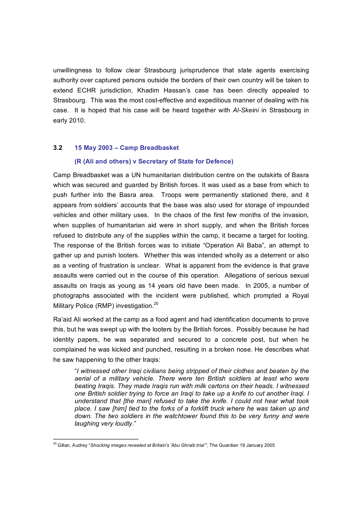unwillingness to follow clear Strasbourg jurisprudence that state agents exercising authority over captured persons outside the borders of their own country will be taken to extend ECHR jurisdiction, Khadim Hassan's case has been directly appealed to Strasbourg. This was the most costeffective and expeditious manner of dealing with his case. It is hoped that his case will be heard together with *AlSkeini* in Strasbourg in early 2010.

#### **3.2 15 May 2003 – Camp Breadbasket**

#### **(R (Ali and others) v Secretary of State for Defence)**

Camp Breadbasket was a UN humanitarian distribution centre on the outskirts of Basra which was secured and guarded by British forces. It was used as a base from which to push further into the Basra area. Troops were permanently stationed there, and it appears from soldiers' accounts that the base was also used for storage of impounded vehicles and other military uses. In the chaos of the first few months of the invasion, when supplies of humanitarian aid were in short supply, and when the British forces refused to distribute any of the supplies within the camp, it became a target for looting. The response of the British forces was to initiate "Operation Ali Baba", an attempt to gather up and punish looters. Whether this was intended wholly as a deterrent or also as a venting of frustration is unclear. What is apparent from the evidence is that grave assaults were carried out in the course of this operation. Allegations of serious sexual assaults on Iraqis as young as 14 years old have been made. In 2005, a number of photographs associated with the incident were published, which prompted a Royal Military Police (RMP) investigation.<sup>20</sup>

Ra'aid Ali worked at the camp as a food agent and had identification documents to prove this, but he was swept up with the looters by the British forces. Possibly because he had identity papers, he was separated and secured to a concrete post, but when he complained he was kicked and punched, resulting in a broken nose. He describes what he saw happening to the other Iraqis:

"*I witnessed other Iraqi civilians being stripped of their clothes and beaten by the aerial of a military vehicle. There were ten British soldiers at least who were beating Iraqis. They made Iraqis run with milk cartons on their heads. I witnessed one British soldier trying to force an Iraqi to take up a knife to cut another Iraqi. I understand that [the man] refused to take the knife. I could not hear what took place. I saw [him] tied to the forks of a forklift truck where he was taken up and down. The two soldiers in the watchtower found this to be very funny and were laughing very loudly*."

<sup>20</sup>Gillan, Audrey "*Shocking images revealed at Britain's 'Abu Ghraib trial'"*, The Guardian 19 January 2005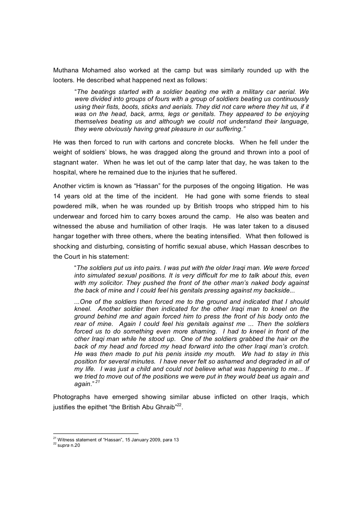Muthana Mohamed also worked at the camp but was similarly rounded up with the looters. He described what happened next as follows:

"*The beatings started with a soldier beating me with a military car aerial. We were divided into groups of fours with a group of soldiers beating us continuously using their fists, boots, sticks and aerials. They did not care where they hit us, if it was on the head, back, arms, legs or genitals. They appeared to be enjoying themselves beating us and although we could not understand their language, they were obviously having great pleasure in our suffering."*

He was then forced to run with cartons and concrete blocks. When he fell under the weight of soldiers' blows, he was dragged along the ground and thrown into a pool of stagnant water. When he was let out of the camp later that day, he was taken to the hospital, where he remained due to the injuries that he suffered.

Another victim isknown as "Hassan" for the purposes of the ongoing litigation. He was 14 years old at the time of the incident. He had gone with some friends to steal powdered milk, when he was rounded up by British troops who stripped him to his underwear and forced him to carry boxes around the camp. He also was beaten and witnessed the abuse and humiliation of other Iraqis. He was later taken to a disused hangar together with three others, where the beating intensified. What then followed is shocking and disturbing, consisting of horrific sexual abuse, which Hassan describes to the Court in his statement:

"*The soldiers put us into pairs. I was put with the older Iraqi man. We were forced into simulated sexual positions. It is very difficult for me to talk about this, even with my solicitor. They pushed the front of the other man's naked body against the back of mine and I could feel his genitals pressing against my backside...* 

*...One of the soldiers then forced me to the ground and indicated that I should kneel. Another soldier then indicated for the other Iraqi man to kneel on the ground behind me and again forced him to press the front of his body onto the rear of mine. Again I could feel his genitals against me ... Then the soldiers forced us to do something even more shaming. I had to kneel in front of the other Iraqi man while he stood up. One of the soldiers grabbed the hair on the back of my head and forced my head forward into the other Iraqi man's crotch. He was then made to put his penis inside my mouth. We had to stay in this position for several minutes. I have never felt so ashamed and degraded in all of my life. I was just a child and could not believe what was happening to me... If we tried to move out of the positions we were put in they would beat us again and again*." *<sup>21</sup>*

Photographs have emerged showing similar abuse inflicted on other Iraqis, which justifies the epithet "the British Abu Ghraib"<sup>22</sup>.

<sup>&</sup>lt;sup>21</sup> Witness statement of "Hassan", 15 January 2009, para 13

<sup>22</sup>s*upra* n.20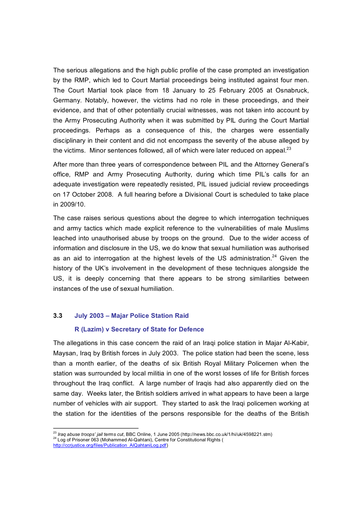The serious allegations and the high public profile of the case prompted an investigation by the RMP, which led to Court Martial proceedings being instituted against four men. The Court Martial took place from 18 January to 25 February 2005 at Osnabruck, Germany. Notably, however, the victims had no role in these proceedings, and their evidence, and that of other potentially crucial witnesses, was not taken into account by the Army Prosecuting Authority when it was submitted by PIL during the Court Martial proceedings. Perhaps as a consequence of this, the charges were essentially disciplinary in their content and did not encompass the severity of the abuse alleged by the victims. Minor sentences followed, all of which were later reduced on appeal. $23$ 

After more than three years of correspondence between PIL and the Attorney General's office, RMP and Army Prosecuting Authority, during which time PIL's calls for an adequate investigation were repeatedly resisted, PIL issued judicial review proceedings on 17 October 2008. A full hearing before a Divisional Court is scheduled to take place in 2009/10.

The case raises serious questions about the degree to which interrogation techniques and army tactics which made explicit reference to the vulnerabilities of male Muslims leached into unauthorised abuse by troops on the ground. Due to the wider access of information and disclosure in the US, we do know that sexual humiliation was authorised as an aid to interrogation at the highest levels of the US administration.<sup>24</sup> Given the history of the UK's involvement in the development of these techniques alongside the US, it is deeply concerning that there appears to be strong similarities between instances of the use of sexual humiliation.

#### **3.3 July 2003 – Majar Police Station Raid**

#### **R (Lazim) v Secretary of State for Defence**

The allegations in this case concern the raid of an Iraqi police station in Majar Al-Kabir, Maysan, Iraq by British forces in July 2003. The police station had been the scene, less than a month earlier, of the deaths of six British Royal Military Policemen when the station was surrounded by local militia in one of the worst losses of life for British forces throughout the Iraq conflict. A large number of Iraqis had also apparently died on the same day. Weeks later, the British soldiers arrived in what appears to have been a large number of vehicles with air support. They started to ask the Iraqi policemen working at the station for the identities of the persons responsible for the deaths of the British

<sup>&</sup>lt;sup>23</sup> *Iraq abuse troops' jail terms cut*, BBC Online, 1 June 2005 (http://news.bbc.co.uk/1/hi/uk/4598221.stm) <sup>24</sup> Log of Prisoner 063 (Mohammed Al-Qahtani), Centre for Constitutional Rights (

[http://ccrjustice.org/files/Publication\\_AlQahtaniLog.pdf\)](http://ccrjustice.org/files/Publication_AlQahtaniLog.pdf)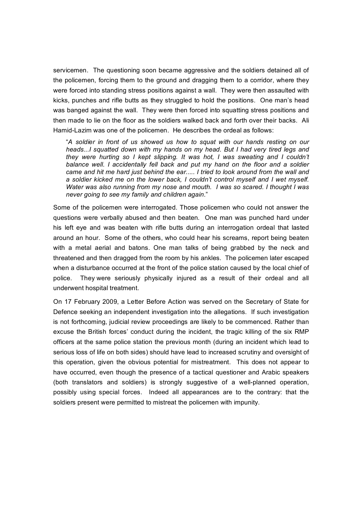servicemen. The questioning soon became aggressive and the soldiers detained all of the policemen, forcing them to the ground and dragging them to a corridor, where they were forced into standing stress positions against a wall. They were then assaulted with kicks, punches and rifle butts as they struggled to hold the positions. One man's head was banged against the wall. They were then forced into squatting stress positions and then made to lie on the floor as the soldiers walked back and forth over their backs. Ali Hamid-Lazim was one of the policemen. He describes the ordeal as follows:

"*A soldier in front of us showed us how to squat with our hands resting on our heads...I squatted down with my hands on my head. But I had very tired legs and they were hurting so Ikept slipping. It was hot, I was sweating and I couldn't balance well. I accidentally fell back and put my hand on the floor and a soldier came and hit me hard just behind the ear..... I tried to look around from the wall and a soldier kicked me on the lower back, I couldn't control myself and I wet myself. Water was also running from my nose and mouth. I was so scared. I thought I was never going to see my family and children again*."

Some of the policemen were interrogated. Those policemen who could not answer the questions were verbally abused and then beaten. One man was punched hard under his left eye and was beaten with rifle butts during an interrogation ordeal that lasted around an hour. Some of the others, who could hear his screams, report being beaten with a metal aerial and batons. One man talks of being grabbed by the neck and threatened and then dragged from the room by his ankles. The policemen later escaped when a disturbance occurred at the front of the police station caused by the local chief of police. They were seriously physically injured as a result of their ordeal and all underwent hospital treatment.

On 17 February 2009, a Letter Before Action was served on the Secretary of State for Defence seeking an independent investigation into the allegations. If such investigation is not forthcoming, judicial review proceedings are likely to be commenced. Rather than excuse the British forces' conduct during the incident, the tragic killing of the six RMP officers at the same police station the previous month (during an incident which lead to serious loss of life on both sides) should have lead to increased scrutiny and oversight of this operation, given the obvious potential for mistreatment. This does not appear to have occurred, even though the presence of a tactical questioner and Arabic speakers (both translators and soldiers) is strongly suggestive of a well-planned operation, possibly using special forces. Indeed all appearances are to the contrary: that the soldiers present were permitted to mistreat the policemen with impunity.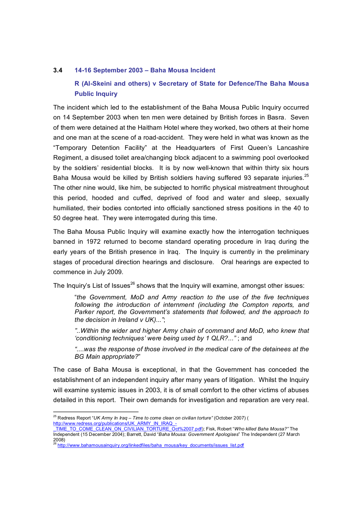#### **3.4 1416 September 2003 – Baha Mousa Incident**

#### **R (AlSkeini and others) v Secretary of State for Defence/The Baha Mousa Public Inquiry**

The incident which led to the establishment of the Baha Mousa Public Inquiry occurred on 14 September 2003 when ten men were detained by British forces in Basra. Seven of them were detained at the Haitham Hotel where they worked, two others at their home and one man at the scene of a road-accident. They were held in what was known as the "Temporary Detention Facility" at the Headquarters of First Queen's Lancashire Regiment, a disused toilet area/changing block adjacent to a swimming pool overlooked by the soldiers' residential blocks. It is by now well-known that within thirty six hours Baha Mousa would be killed by British soldiers having suffered 93 separate injuries.<sup>25</sup> The other nine would, like him, be subjected to horrific physical mistreatment throughout this period, hooded and cuffed, deprived of food and water and sleep, sexually humiliated, their bodies contorted into officially sanctioned stress positions in the 40 to 50 degree heat. They were interrogated during this time.

The Baha Mousa Public Inquiry will examine exactly how the interrogation techniques banned in 1972 returned to become standard operating procedure in Iraq during the early years of the British presence in Iraq. The Inquiry is currently in the preliminary stages of procedural direction hearings and disclosure. Oral hearings are expected to commence in July 2009.

The Inquiry's List of Issues<sup>26</sup> shows that the Inquiry will examine, amongst other issues:

"*the Government, MoD and Army reaction to the use of the five techniques following the introduction of internment (including the Compton reports, and Parker report, the Government's statements that followed, and the approach to the decision in Ireland v UK)..."*;

*"..Within the wider and higher Army chain of command and MoD, who knew that 'conditioning techniques' were being used by 1 QLR?..."* ; and

*"....was the response of those involved in the medical care of the detainees at the BG Main appropriate?*"

The case of Baha Mousa is exceptional, in that the Government has conceded the establishment of an independent inquiry after many years of litigation. Whilst the Inquiry will examine systemic issues in 2003, it is of small comfort to the other victims of abuses detailed in this report. Their own demands for investigation and reparation are very real.

<sup>25</sup>Redress Report "*UK Army In Iraq – Time to come clean on civilian torture"* (October 2007) ( http://www.redress.org/publications/UK\_ARMY\_IN\_IRAQ\_-

[\\_TIME\\_TO\\_COME\\_CLEAN\\_ON\\_CIVILIAN\\_TORTURE\\_Oct%2007.pdf](http://www.redress.org/publications/UK_ARMY_IN_IRAQ_-_TIME_TO_COME_CLEAN_ON_CIVILIAN_TORTURE_Oct%2007.pdf)); Fisk, Robert "*Who killed Baha Mousa?"* The Independent (15 December 2004); Barrett, David "*Baha Mousa: Government Apologises*" The Independent (27 March 2008)<br><sup>26</sup>[http://www.bahamousainquiry.org/linkedfiles/baha\\_mousa/key\\_documents/issues\\_list.pdf](http://www.bahamousainquiry.org/linkedfiles/baha_mousa/key_documents/issues_list.pdf)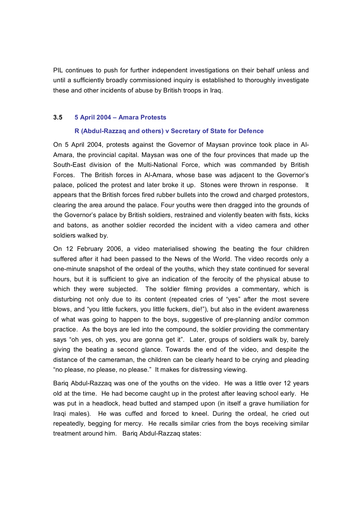PIL continues to push for further independent investigations on their behalf unless and until a sufficiently broadly commissioned inquiry is established to thoroughly investigate these and other incidents of abuse by British troops in Iraq.

#### **3.5 5 April 2004 – Amara Protests**

#### **R (AbdulRazzaq and others) v Secretary of State for Defence**

On 5 April 2004, protests against the Governor of Maysan province took place in Al Amara, the provincial capital. Maysan was one of the four provinces that made up the South-East division of the Multi-National Force, which was commanded by British Forces. The British forces in Al-Amara, whose base was adjacent to the Governor's palace, policed the protest and later broke it up. Stones were thrown in response. It appears that the British forces fired rubber bullets into the crowd and charged protestors, clearing the area around the palace. Four youths were then dragged into the grounds of the Governor's palace by British soldiers, restrained and violently beaten with fists, kicks and batons, as another soldier recorded the incident with a video camera and other soldiers walked by.

On 12 February 2006, a video materialised showing the beating the four children suffered after it had been passed to the News of the World. The video records only a one-minute snapshot of the ordeal of the youths, which they state continued for several hours, but it is sufficient to give an indication of the ferocity of the physical abuse to which they were subjected. The soldier filming provides a commentary, which is disturbing not only due to its content (repeated cries of "yes" after the most severe blows, and "you little fuckers, you little fuckers, die!"), but also in the evident awareness of what was going to happen to the boys, suggestive of pre-planning and/or common practice. As the boys are led into the compound, the soldier providing the commentary says "oh yes, oh yes, you are gonna get it". Later, groups of soldiers walk by, barely giving the beating a second glance. Towards the end of the video, and despite the distance of the cameraman, the children can be clearly heard to be crying and pleading "no please, no please, no please." It makes for distressing viewing.

Barig Abdul-Razzag was one of the youths on the video. He was a little over 12 years old at the time. He had become caught up in the protest after leaving school early. He was put in a headlock, head butted and stamped upon (in itself a grave humiliation for Iraqi males). He was cuffed and forced to kneel. During the ordeal, he cried out repeatedly, begging for mercy. He recalls similar cries from the boys receiving similar treatment around him. Bariq Abdul-Razzaq states: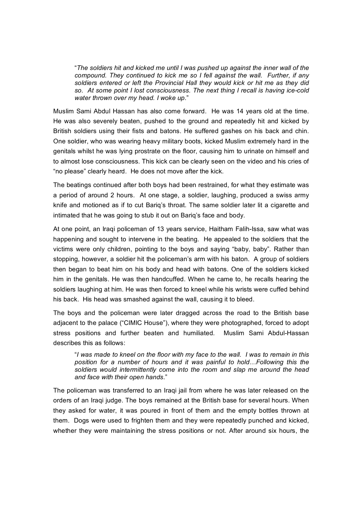"*The soldiers hit and kicked me until I was pushed up against the inner wall of the compound. They continued to kick me so I fell against the wall. Further, if any soldiers entered or left the Provincial Hall they would kick or hit me as they did so. At some point I lost consciousness. The next thing I recall is having icecold water thrown over my head. I woke up*."

Muslim Sami Abdul Hassan has also come forward. He was 14 years old at the time. He was also severely beaten, pushed to the ground and repeatedly hit and kicked by British soldiers using their fists and batons. He suffered gashes on his back and chin. One soldier, who was wearing heavy military boots, kicked Muslim extremely hard in the genitals whilst he was lying prostrate on the floor, causing him to urinate on himself and to almost lose consciousness. This kick can be clearly seen on the video and his cries of "no please" clearly heard. He does not move after the kick.

The beatings continued after both boys had been restrained, for what they estimate was a period of around 2 hours. At one stage, a soldier, laughing, produced a swiss army knife and motioned as if to cut Bariq's throat. The same soldier later lit a cigarette and intimated that he was going to stub it out on Bariq's face and body.

At one point, an Iraqi policeman of 13 years service, Haitham Falih-Issa, saw what was happening and sought to intervene in the beating. He appealed to the soldiers that the victims were only children, pointing to the boys and saying "baby, baby". Rather than stopping, however, a soldier hit the policeman's arm with his baton. A group of soldiers then began to beat him on his body and head with batons. One of the soldiers kicked him in the genitals. He was then handcuffed. When he came to, he recalls hearing the soldiers laughing at him. He was then forced to kneel while his wrists were cuffed behind his back. His head was smashed against the wall, causing it to bleed.

The boys and the policeman were later dragged across the road to the British base adjacent to the palace ("CIMIC House"), where they were photographed, forced to adopt stress positions and further beaten and humiliated. Muslim Sami Abdul-Hassan describes this as follows:

"*I was made to kneel on the floor with my face to the wall. I was to remain in this position for a number of hours and it was painful to hold…Following this the soldiers would intermittently come into the room and slap me around the head and face with their open hands*."

The policeman was transferred to an Iraqi jail from where he was later released on the orders of an Iraqi judge. The boys remained at the British base for several hours. When they asked for water, it was poured in front of them and the empty bottles thrown at them. Dogs were used to frighten them and they were repeatedly punched and kicked, whether they were maintaining the stress positions or not. After around six hours, the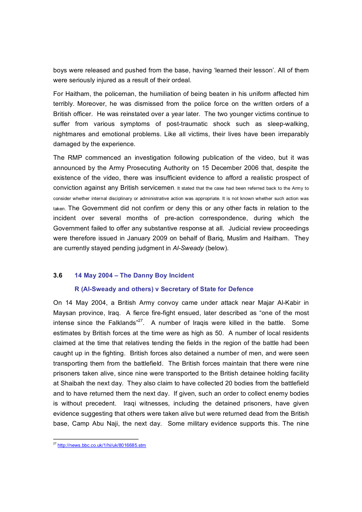boys were released and pushed from the base, having 'learned their lesson'. All of them were seriously injured as a result of their ordeal.

For Haitham, the policeman, the humiliation of being beaten in his uniform affected him terribly. Moreover, he was dismissed from the police force on the written orders of a British officer. He was reinstated over a year later. The two younger victims continue to suffer from various symptoms of post-traumatic shock such as sleep-walking, nightmares and emotional problems. Like all victims, their lives have been irreparably damaged by the experience.

The RMP commenced an investigation following publication of the video, but it was announced by the Army Prosecuting Authority on 15 December 2006 that, despite the existence of the video, there was insufficient evidence to afford a realistic prospect of conviction against any British servicemen. It stated that the case had been referred back to the Army to consider whether internal disciplinary or administrative action was appropriate. It is not known whether such action was taken. The Government did not confirm or deny this or any other facts in relation to the incident over several months of pre-action correspondence, during which the Government failed to offer any substantive response at all. Judicial review proceedings were therefore issued in January 2009 on behalf of Bariq, Muslim and Haitham. They are currently stayed pending judgment in *AlSweady* (below).

#### **3.6 14 May 2004 – The Danny Boy Incident**

#### **R (AlSweady and others) v Secretary of State for Defence**

On 14 May 2004, a British Army convoy came under attack near Majar Al-Kabir in Maysan province, Iraq. A fierce fire-fight ensued, later described as "one of the most intense since the Falklands<sup>"27</sup>. A number of Iraqis were killed in the battle. Some estimates by British forces at the time were as high as 50. A number of local residents claimed at the time that relatives tending the fields in the region of the battle had been caught up in the fighting. British forces also detained a number of men, and were seen transporting them from the battlefield. The British forces maintain that there were nine prisoners taken alive, since nine were transported to the British detainee holding facility at Shaibah the next day. They also claim to have collected 20 bodies from the battlefield and to have returned them the next day. If given, such an order to collect enemy bodies is without precedent. Iraqi witnesses, including the detained prisoners, have given evidence suggesting that others were taken alive but were returned dead from the British base, Camp Abu Naji, the next day. Some military evidence supports this. The nine

<sup>&</sup>lt;sup>27</sup><http://news.bbc.co.uk/1/hi/uk/8016685.stm>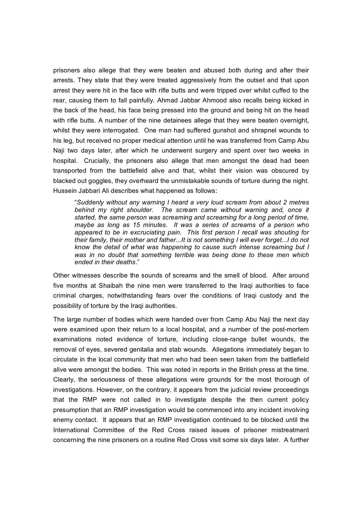prisoners also allege that they were beaten and abused both during and after their arrests. They state that they were treated aggressively from the outset and that upon arrest they were hit in the face with rifle butts and were tripped over whilst cuffed to the rear, causing them to fall painfully. Ahmad Jabbar Ahmood also recalls being kicked in the back of the head, his face being pressed into the ground and being hit on the head with rifle butts. A number of the nine detainees allege that they were beaten overnight, whilst they were interrogated. One man had suffered gunshot and shrapnel wounds to his leg, but received no proper medical attention until he was transferred from Camp Abu Naji two days later, after which he underwent surgery and spent over two weeks in hospital. Crucially, the prisoners also allege that men amongst the dead had been transported from the battlefield alive and that, whilst their vision was obscured by blacked out goggles, they overheard the unmistakable sounds of torture during the night. Hussein Jabbari Ali describes what happened as follows:

"*Suddenly without any warning I heard a very loud scream from about 2 metres behind my right shoulder. The scream came without warning and, once it started, the same person was screaming and screaming for a long period of time, maybe as long as 15 minutes. It was a series of screams of a person who appeared to be in excruciating pain. This first person I recall was shouting for their family, their mother and father...It is not something I will ever forget...I do not know the detail of what was happening to cause such intense screaming but I was in no doubt that something terrible was being done to these men which ended in their deaths*."

Other witnesses describe the sounds of screams and the smell of blood. After around five months at Shaibah the nine men were transferred to the Iraqi authorities to face criminal charges, notwithstanding fears over the conditions of Iraqi custody and the possibility of torture by the Iraqi authorities.

The large number of bodies which were handed over from Camp Abu Naji the next day were examined upon their return to a local hospital, and a number of the post-mortem examinations noted evidence of torture, including close-range bullet wounds, the removal of eyes, severed genitalia and stab wounds. Allegations immediately began to circulate in the local community that men who had been seen taken from the battlefield alive were amongst the bodies. This was noted in reports in the British press at the time. Clearly, the seriousness of these allegations were grounds for the most thorough of investigations. However, on the contrary, it appears from the judicial review proceedings that the RMP were not called in to investigate despite the then current policy presumption that an RMP investigation would be commenced into any incident involving enemy contact. It appears that an RMP investigation continued to be blocked until the International Committee of the Red Cross raised issues of prisoner mistreatment concerning the nine prisoners on a routine Red Cross visit some six days later. A further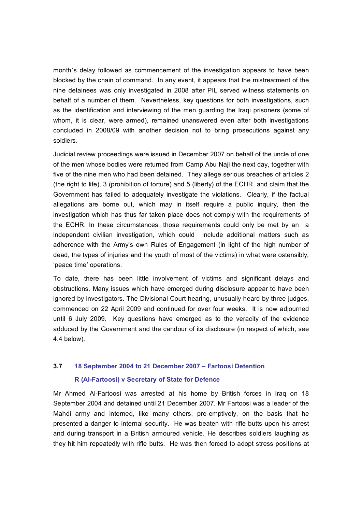month´s delay followed as commencement of the investigation appears to have been blocked by the chain of command. In any event, it appears that the mistreatment of the nine detainees was only investigated in 2008 after PIL served witness statements on behalf of a number of them. Nevertheless, key questions for both investigations, such as the identification and interviewing of the men guarding the Iraqi prisoners (some of whom, it is clear, were armed), remained unanswered even after both investigations concluded in 2008/09 with another decision not to bring prosecutions against any soldiers.

Judicial review proceedings were issued in December 2007 on behalf of the uncle of one of the men whose bodies were returned from Camp Abu Naji the next day, together with five of the nine men who had been detained. They allege serious breaches of articles 2 (the right to life), 3 (prohibition of torture) and 5 (liberty) of the ECHR, and claim that the Government has failed to adequately investigate the violations. Clearly, if the factual allegations are borne out, which may in itself require a public inquiry, then the investigation which has thus far taken place does not comply with the requirements of the ECHR. In these circumstances, those requirements could only be met by an a independent civilian investigation, which could include additional matters such as adherence with the Army's own Rules of Engagement (in light of the high number of dead, the types of injuries and the youth of most of the victims) in what were ostensibly, 'peace time' operations.

To date, there has been little involvement of victims and significant delays and obstructions. Many issues which have emerged during disclosure appear to have been ignored by investigators. The Divisional Court hearing, unusually heard by three judges, commenced on 22 April 2009 and continued for over four weeks. It is now adjourned until 6 July 2009. Key questions have emerged as to the veracity of the evidence adduced by the Government and the candour of its disclosure (in respect of which, see 4.4 below).

#### **3.7 18 September 2004 to 21 December 2007 – Fartoosi Detention**

#### **R (AlFartoosi) v Secretary of State for Defence**

Mr Ahmed AlFartoosi was arrested at his home by British forces in Iraq on 18 September 2004 and detained until 21 December 2007. Mr Fartoosi was a leader of the Mahdi army and interned, like many others, pre-emptively, on the basis that he presented a danger to internal security. He was beaten with rifle butts upon his arrest and during transport in a British armoured vehicle. He describes soldiers laughing as they hit him repeatedly with rifle butts. He was then forced to adopt stress positions at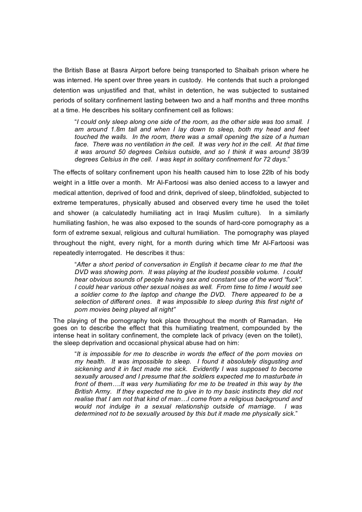the British Base at Basra Airport before being transported to Shaibah prison where he was interned. He spent over three years in custody. He contends that such a prolonged detention was unjustified and that, whilst in detention, he was subjected to sustained periods of solitary confinement lasting between two and a half months and three months at a time. He describes his solitary confinement cell as follows:

"*I could only sleep along one side of the room, as the other side was too small. I am around 1.8m tall and when I lay down to sleep, both my head and feet touched the walls. In the room, there was a small opening the size of a human face. There was no ventilation in the cell. It was very hot in the cell. At that time it was around 50 degrees Celsius outside, and so I think it was around 38/39 degrees Celsius in the cell. I was kept in solitary confinement for 72 days*."

The effects of solitary confinement upon his health caused him to lose 22lb of his body weight in a little over a month. Mr Al-Fartoosi was also denied access to a lawyer and medical attention, deprived of food and drink, deprived of sleep, blindfolded, subjected to extreme temperatures, physically abused and observed every time he used the toilet and shower (a calculatedly humiliating act in Iraqi Muslim culture). In a similarly humiliating fashion, he was also exposed to the sounds of hard-core pornography as a form of extreme sexual, religious and cultural humiliation. The pornography was played throughout the night, every night, for a month during which time Mr AlFartoosi was repeatedly interrogated. He describes it thus:

"*After a short period of conversation in English it became clear to me that the DVD was showing porn. It was playing at the loudest possible volume. I could hear obvious sounds of people having sex and constant use of the word "fuck". I could hear various other sexual noises as well. From time to time I would see a soldier come to the laptop and change the DVD. There appeared to be a selection of different ones. It was impossible to sleep during this first night of porn movies being played all night"*

The playing of the pornography took place throughout the month of Ramadan. He goes on to describe the effect that this humiliating treatment, compounded by the intense heat in solitary confinement, the complete lack of privacy (even on the toilet), the sleep deprivation and occasional physical abuse had on him:

"*It is impossible for me to describe in words the effect of the porn movies on my health. It was impossible to sleep. I found it absolutely disgusting and sickening and it in fact made me sick. Evidently Iwas supposed to become sexually aroused and I presume that the soldiers expected me to masturbate in front of them….It was very humiliating for me to be treated in this way by the British Army. If they expected me to give in to my basic instincts they did not realise that I am not that kind of man…I come from areligious background and would not indulge in a sexual relationship outside of marriage. I was determined not to be sexually aroused by this but it made me physically sick*."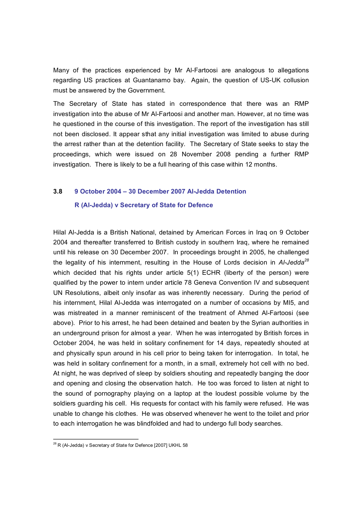Many of the practices experienced by Mr AlFartoosi are analogous to allegations regarding US practices at Guantanamo bay. Again, the question of US-UK collusion must be answered by the Government.

The Secretary of State has stated in correspondence that there was an RMP investigation into the abuse of Mr Al-Fartoosi and another man. However, at no time was he questioned in the course of this investigation. The report of the investigation has still not been disclosed. It appear sthat any initial investigation was limited to abuse during the arrest rather than at the detention facility. The Secretary of State seeks to stay the proceedings, which were issued on 28 November 2008 pending a further RMP investigation. There is likely to be a full hearing of this case within 12 months.

#### **3.8 9 October 2004 – 30 December 2007 AlJedda Detention**

#### **R (AlJedda) v Secretary of State for Defence**

Hilal Al-Jedda is a British National, detained by American Forces in Iraq on 9 October 2004 and thereafter transferred to British custody in southern Iraq, where he remained until his release on 30 December 2007. In proceedings brought in 2005, he challenged the legality of his internment, resulting in the House of Lords decision in *AlJedda 28* which decided that his rights under article 5(1) ECHR (liberty of the person) were qualified by the power to intern under article 78 Geneva Convention IV and subsequent UN Resolutions, albeit only insofar as was inherently necessary. During the period of his internment, Hilal Al-Jedda was interrogated on a number of occasions by MI5, and was mistreated in a manner reminiscent of the treatment of Ahmed Al-Fartoosi (see above). Prior to his arrest, he had been detained and beaten by the Syrian authorities in an underground prison for almost a year. When he was interrogated by British forces in October 2004, he was held in solitary confinement for 14 days, repeatedly shouted at and physically spun around in his cell prior to being taken for interrogation. In total, he was held in solitary confinement for a month, in a small, extremely hot cell with no bed. At night, he was deprived of sleep by soldiers shouting and repeatedly banging the door and opening and closing the observation hatch. He too was forced to listen at night to the sound of pornography playing on a laptop at the loudest possible volume by the soldiers guarding his cell. His requests for contact with his family were refused. He was unable to change his clothes. He was observed whenever he went to the toilet and prior to each interrogation he was blindfolded and had to undergo full body searches.

<sup>&</sup>lt;sup>28</sup> R (Al-Jedda) v Secretary of State for Defence [2007] UKHL 58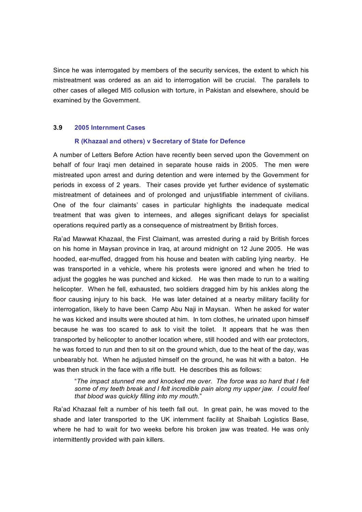Since he was interrogated by members of the security services, the extent to which his mistreatment was ordered as an aid to interrogation will be crucial. The parallels to other cases of alleged MI5 collusion with torture, in Pakistan and elsewhere, should be examined by the Government.

#### **3.9 2005 Internment Cases**

#### **R (Khazaal and others) v Secretary of State for Defence**

A number of Letters Before Action have recently been served upon the Government on behalf of four Iraqi men detained in separate house raids in 2005. The men were mistreated upon arrest and during detention and were interned by the Government for periods in excess of 2 years. Their cases provide yet further evidence of systematic mistreatment of detainees and of prolonged and unjustifiable internment of civilians. One of the four claimants' cases in particular highlights the inadequate medical treatment that was given to internees, and alleges significant delays for specialist operations required partly as a consequence of mistreatment by British forces.

Ra'ad Mawwat Khazaal, the First Claimant, was arrested during a raid by British forces on his home in Maysan province in Iraq, at around midnight on 12 June 2005. He was hooded, ear-muffed, dragged from his house and beaten with cabling lying nearby. He was transported in a vehicle, where his protests were ignored and when he tried to adjust the goggles he was punched and kicked. He was then made to run to a waiting helicopter. When he fell, exhausted, two soldiers dragged him by his ankles along the floor causing injury to his back. He was later detained at a nearby military facility for interrogation, likely to have been Camp Abu Naji in Maysan. When he asked for water he was kicked and insults were shouted at him. In torn clothes, he urinated upon himself because he was too scared to ask to visit the toilet. It appears that he was then transported by helicopter to another location where, still hooded and with ear protectors, he was forced to run and then to sit on the ground which, due to the heat of the day, was unbearably hot. When he adjusted himself on the ground, he was hit with a baton. He was then struck in the face with a rifle butt. He describes this as follows:

"*The impact stunned me and knocked me over. The force was so hard that I felt some of my teeth break and I felt incredible pain along my upper jaw. I could feel that blood was quickly filling into my mouth.*"

Ra'ad Khazaal felt a number of his teeth fall out. In great pain, he was moved to the shade and later transported to the UK internment facility at Shaibah Logistics Base, where he had to wait for two weeks before his broken jaw was treated. He was only intermittently provided with pain killers.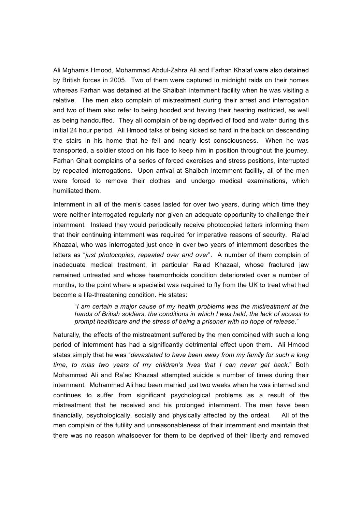Ali Mghamis Hmood, Mohammad AbdulZahra Ali and Farhan Khalaf were also detained by British forces in 2005. Two of them were captured in midnight raids on their homes whereas Farhan was detained at the Shaibah internment facility when he was visiting a relative. The men also complain of mistreatment during their arrest and interrogation and two of them also refer to being hooded and having their hearing restricted, as well as being handcuffed. They all complain of being deprived of food and water during this initial 24 hour period. Ali Hmood talks of being kicked so hard in the back on descending the stairs in his home that he fell and nearly lost consciousness. When he was transported, a soldier stood on his face to keep him in position throughout the journey. Farhan Ghait complains of a series of forced exercises and stress positions, interrupted by repeated interrogations. Upon arrival at Shaibah internment facility, all of the men were forced to remove their clothes and undergo medical examinations, which humiliated them.

Internment in all of the men's cases lasted for over two years, during which time they were neither interrogated regularly nor given an adequate opportunity to challenge their internment. Instead they would periodically receive photocopied letters informing them that their continuing internment was required for imperative reasons of security. Ra'ad Khazaal, who was interrogated just once in over two years of internment describes the letters as "*just photocopies, repeated over and over*". A number of them complain of inadequate medical treatment, in particular Ra'ad Khazaal, whose fractured jaw remained untreated and whose haemorrhoids condition deteriorated over a number of months, to the point where a specialist was required to fly from the UK to treat what had become a life-threatening condition. He states:

"*I am certain a major cause of my health problems was the mistreatment at the hands of British soldiers, the conditions in which I was held, the lack of access to prompt healthcare and the stress of being a prisoner with no hope of release*."

Naturally, the effects of the mistreatment suffered by the men combined with such a long period of internment has had a significantly detrimental effect upon them. Ali Hmood states simply that he was "*devastated to have been away from my family for such a long time, to miss two years of my children's lives that I can never get back*." Both Mohammad Ali and Ra'ad Khazaal attempted suicide a number of times during their internment. Mohammad Ali had been married just two weeks when he was interned and continues to suffer from significant psychological problems as a result of the mistreatment that he received and his prolonged internment. The men have been financially, psychologically, socially and physically affected by the ordeal. All of the men complain of the futility and unreasonableness of their internment and maintain that there was no reason whatsoever for them to be deprived of their liberty and removed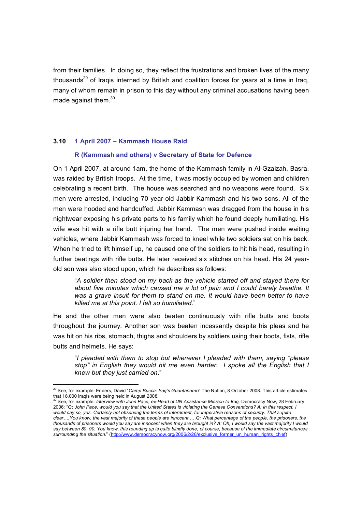from their families. In doing so, they reflect the frustrations and broken lives of the many thousands<sup>29</sup> of Iraqis interned by British and coalition forces for years at a time in Iraq, many of whom remain in prison to this day without any criminal accusations having been made against them.<sup>30</sup>

#### **3.10 1 April 2007 – Kammash House Raid**

#### **R (Kammash and others) v Secretary of State for Defence**

On 1 April 2007, at around 1am, the home of the Kammash family in AlGzaizah, Basra, was raided by British troops. At the time, it was mostly occupied by women and children celebrating a recent birth. The house was searched and no weapons were found. Six men were arrested, including 70 year-old Jabbir Kammash and his two sons. All of the men were hooded and handcuffed. Jabbir Kammash was dragged from the house in his nightwear exposing his private parts to his family which he found deeply humiliating. His wife was hit with a rifle butt injuring her hand. The men were pushed inside waiting vehicles, where Jabbir Kammash was forced to kneel while two soldiers sat on his back. When he tried to lift himself up, he caused one of the soldiers to hit his head, resulting in further beatings with rifle butts. He later received six stitches on his head. His 24 year old son was also stood upon, which he describes as follows:

"*A soldier then stood on my back as the vehicle started off and stayed there for about five minutes which caused me a lot of pain and I could barely breathe. It was a grave insult for them to stand on me. It would have been better to have killed me at this point. I felt so humiliated*."

He and the other men were also beaten continuously with rifle butts and boots throughout the journey. Another son was beaten incessantly despite his pleas and he was hit on his ribs, stomach, thighs and shoulders by soldiers using their boots, fists, rifle butts and helmets. He says:

"*I pleaded with them to stop but whenever I pleaded with them, saying "please stop" in English they would hit me even harder. I spoke all the English that I knew but they just carried on*."

<sup>&</sup>lt;sup>29</sup> See, for example: Enders, David "*Camp Bucca: Iraq's Guantanamo*" The Nation, 8 October 2008. This article estimates that 18,000 Iraqis were being held in August 2008.

that 18,000 Iraqis were being held in August 2008. <sup>30</sup>See, for example: *Interview with John Pace, exHead of UN Assistance Mission to Iraq,* Democracy Now, 28 February 2006: "*Q: John Pace, would you say that the United States is violating the Geneva Conventions? A: In this respect, I would say so, yes. Certainly not observing the terms of internment, for imperative reasons of security. That's quite clear….You know, the vast majority of these people are innocent ….Q: What percentage of the people, the prisoners, the thousands of prisoners would you say are innocent when they are brought in? A: Oh, I would say the vast majority I would say between 80, 90. You know, this rounding up is quite blindly done, of course, because of the immediate circumstances surrounding the situation*." [\(http://www.democracynow.org/2006/2/28/exclusive\\_former\\_un\\_human\\_rights\\_chief\)](http://www.democracynow.org/2006/2/28/exclusive_former_un_human_rights_chief)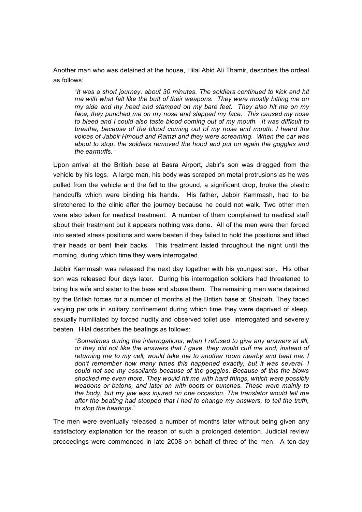Another man who was detained at the house, Hilal Abid Ali Thamir, describes the ordeal as follows:

"*It was a short journey, about 30 minutes. The soldiers continued to kick and hit me with what felt like the butt of their weapons. They were mostly hitting me on my side and my head and stamped on my bare feet. They also hit me on my face, they punched me on my nose and slapped my face. This caused my nose to bleed and I could also taste blood coming out of my mouth. It was difficult to breathe, because of the blood coming out of my nose and mouth. I heard the voices of Jabbir Hmoud and Ramzi and they were screaming. When the car was about to stop, the soldiers removed the hood and put on again the goggles and the earmuffs.* "

Upon arrival at the British base at Basra Airport, Jabir's son was dragged from the vehicle by his legs. A large man, his body was scraped on metal protrusions as he was pulled from the vehicle and the fall to the ground, a significant drop, broke the plastic handcuffs which were binding his hands. His father, Jabbir Kammash, had to be stretchered to the clinic after the journey because he could not walk. Two other men were also taken for medical treatment. A number of them complained to medical staff about their treatment but it appears nothing was done. All of the men were then forced into seated stress positions and were beaten if they failed to hold the positions and lifted their heads or bent their backs. This treatment lasted throughout the night until the morning, during which time they were interrogated.

Jabbir Kammash was released the next day together with his youngest son. His other son was released four days later. During his interrogation soldiers had threatened to bring his wife and sister to the base and abuse them. The remaining men were detained by the British forces for a number of months at the British base at Shaibah. They faced varying periods in solitary confinement during which time they were deprived of sleep, sexually humiliated by forced nudity and observed toilet use, interrogated and severely beaten. Hilal describes the beatings as follows:

"*Sometimes during the interrogations, when I refused to give any answers at all, or they did not like the answers that I gave, they would cuff me and, instead of returning me to my cell, would take me to another room nearby and beat me. I don't remember how many times this happened exactly, but it was several. I could not see my assailants because of the goggles. Because of this the blows shocked me even more. They would hit me with hard things, which were possibly weapons or batons, and later on with boots or punches. These were mainly to the body, but my jaw was injured on one occasion. The translator would tell me after the beating had stopped that I had to change my answers, to tell the truth, to stop the beatings*."

The men were eventually released a number of months later without being given any satisfactory explanation for the reason of such a prolonged detention. Judicial review proceedings were commenced in late 2008 on behalf of three of the men. A ten-day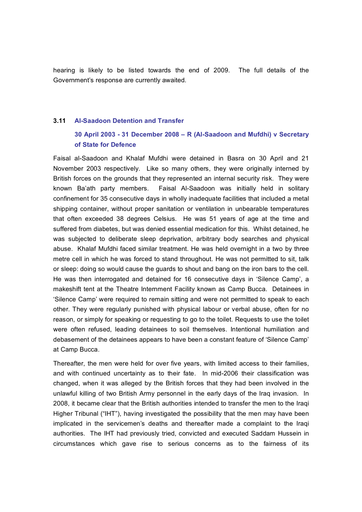hearing is likely to be listed towards the end of 2009. The full details of the Government's response are currently awaited.

#### **3.11 AlSaadoon Detention and Transfer**

#### **30 April 2003 31 December 2008 – R (AlSaadoon and Mufdhi) v Secretary of State for Defence**

Faisal al-Saadoon and Khalaf Mufdhi were detained in Basra on 30 April and 21 November 2003 respectively. Like so many others, they were originally interned by British forces on the grounds that they represented an internal security risk. They were known Ba'ath party members. Faisal Al-Saadoon was initially held in solitary confinement for 35 consecutive days in wholly inadequate facilities that included a metal shipping container, without proper sanitation or ventilation in unbearable temperatures that often exceeded 38 degrees Celsius. He was 51 years of age at the time and suffered from diabetes, but was denied essential medication for this. Whilst detained, he was subjected to deliberate sleep deprivation, arbitrary body searches and physical abuse. Khalaf Mufdhi faced similar treatment. He was held overnight in a two by three metre cell in which he was forced to stand throughout. He was not permitted to sit, talk or sleep: doing so would cause the guards to shout and bang on the iron bars to the cell. He was then interrogated and detained for 16 consecutive days in 'Silence Camp', a makeshift tent at the Theatre Internment Facility known as Camp Bucca. Detainees in 'Silence Camp' were required to remain sitting and were not permitted to speak to each other. They were regularly punished with physical labour or verbal abuse, often for no reason, or simply for speaking or requesting to go to the toilet. Requests to use the toilet were often refused, leading detainees to soil themselves. Intentional humiliation and debasement of the detainees appears to have been a constant feature of 'Silence Camp' at Camp Bucca.

Thereafter, the men were held for over five years, with limited access to their families, and with continued uncertainty as to their fate. In mid-2006 their classification was changed, when it was alleged by the British forces that they had been involved in the unlawful killing of two British Army personnel in the early days of the Iraq invasion. In 2008, it became clear that the British authorities intended to transfer the men to the Iraqi Higher Tribunal ("IHT"), having investigated the possibility that the men may have been implicated in the servicemen's deaths and thereafter made a complaint to the Iraqi authorities. The IHT had previously tried, convicted and executed Saddam Hussein in circumstances which gave rise to serious concerns as to the fairness of its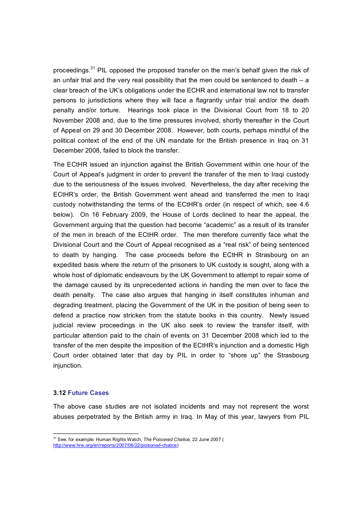proceedings.<sup>31</sup> PIL opposed the proposed transfer on the men's behalf given the risk of an unfair trial and the very real possibility that the men could be sentenced to death  $-$  a clear breach of the UK's obligations under the ECHR and international law not to transfer persons to jurisdictions where they will face a flagrantly unfair trial and/or the death penalty and/or torture. Hearings took place in the Divisional Court from 18 to 20 November 2008 and, due to the time pressures involved, shortly thereafter in the Court of Appeal on 29 and 30 December 2008. However, both courts, perhaps mindful of the political context of the end of the UN mandate for the British presence in Iraq on 31 December 2008, failed to block the transfer.

The ECtHR issued an injunction against the British Government within one hour of the Court of Appeal's judgment in order to prevent the transfer of the men to Iraqi custody due to the seriousness of the issues involved. Nevertheless, the day after receiving the ECtHR's order, the British Government went ahead and transferred the men to Iraqi custody notwithstanding the terms of the ECtHR's order (in respect of which, see 4.6 below). On 16 February 2009, the House of Lords declined to hear the appeal, the Government arguing that the question had become "academic" as a result of its transfer of the men in breach of the ECtHR order. The men therefore currently face what the Divisional Court and the Court of Appeal recognised as a "real risk" of being sentenced to death by hanging. The case proceeds before the ECtHR in Strasbourg on an expedited basis where the return of the prisoners to UK custody is sought, along with a whole host of diplomatic endeavours by the UK Government to attempt to repair some of the damage caused by its unprecedented actions in handing the men over to face the death penalty. The case also argues that hanging in itself constitutes inhuman and degrading treatment, placing the Government of the UK in the position of being seen to defend a practice now stricken from the statute books in this country. Newly issued judicial review proceedings in the UK also seek to review the transfer itself, with particular attention paid to the chain of events on 31 December 2008 which led to the transfer of the men despite the imposition of the ECtHR's injunction and a domestic High Court order obtained later that day by PIL in order to "shore up" the Strasbourg injunction.

#### **3.12 Future Cases**

The above case studies are not isolated incidents and may not represent the worst abuses perpetrated by the British army in Iraq. In May of this year, lawyers from PIL

<sup>&</sup>lt;sup>31</sup> See, for example: Human Rights Watch, *The Poisoned Chalice*, 22 June 2007 (

http://www.hrw.org/en/reports/2007/06/22/poisoned-chalice)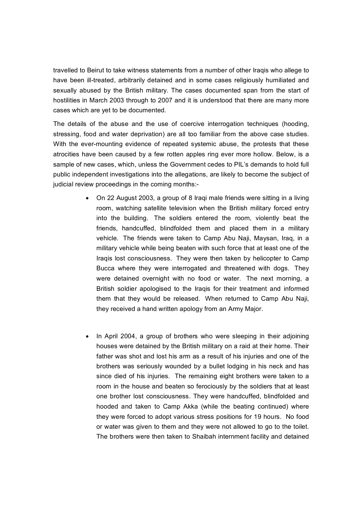travelled to Beirut to take witness statements from a number of other Iraqis who allege to have been ill-treated, arbitrarily detained and in some cases religiously humiliated and sexually abused by the British military. The cases documented span from the start of hostilities in March 2003 through to 2007 and it is understood that there are many more cases which are yet to be documented.

The details of the abuse and the use of coercive interrogation techniques (hooding, stressing, food and water deprivation) are all too familiar from the above case studies. With the ever-mounting evidence of repeated systemic abuse, the protests that these atrocities have been caused by a few rotten apples ring ever more hollow. Below, is a sample of new cases, which, unless the Government cedes to PIL's demands to hold full public independent investigations into the allegations, are likely to become the subject of judicial review proceedings in the coming months:-

- · On 22 August 2003, a group of 8 Iraqi male friends were sitting in a living room, watching satellite television when the British military forced entry into the building. The soldiers entered the room, violently beat the friends, handcuffed, blindfolded them and placed them in a military vehicle. The friends were taken to Camp Abu Naji, Maysan, Iraq, in a military vehicle while being beaten with such force that at least one of the Iraqis lost consciousness. They were then taken by helicopter to Camp Bucca where they were interrogated and threatened with dogs. They were detained overnight with no food or water. The next morning, a British soldier apologised to the Iraqis for their treatment and informed them that they would be released. When returned to Camp Abu Naji, they received a hand written apology from an Army Major.
- In April 2004, a group of brothers who were sleeping in their adjoining houses were detained by the British military on a raid at their home. Their father was shot and lost his arm as a result of his injuries and one of the brothers was seriously wounded by a bullet lodging in his neck and has since died of his injuries. The remaining eight brothers were taken to a room in the house and beaten so ferociously by the soldiers that at least one brother lost consciousness. They were handcuffed, blindfolded and hooded and taken to Camp Akka (while the beating continued) where they were forced to adopt various stress positions for 19 hours. No food or water was given to them and they were not allowed to go to the toilet. The brothers were then taken to Shaibah internment facility and detained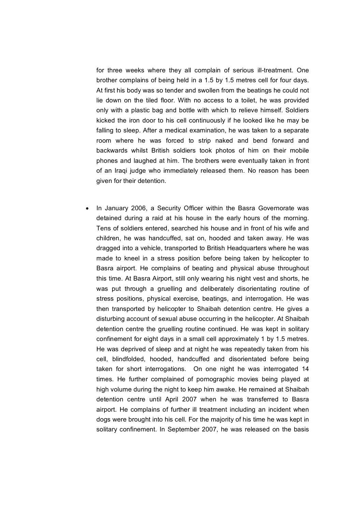for three weeks where they all complain of serious ill-treatment. One brother complains of being held in a 1.5 by 1.5 metres cell for four days. At first his body was so tender and swollen from the beatings he could not lie down on the tiled floor. With no access to a toilet, he was provided only with a plastic bag and bottle with which to relieve himself. Soldiers kicked the iron door to his cell continuously if he looked like he may be falling to sleep. After a medical examination, he was taken to a separate room where he was forced to strip naked and bend forward and backwards whilst British soldiers took photos of him on their mobile phones and laughed at him. The brothers were eventually taken in front of an Iraqi judge who immediately released them. No reason has been given for their detention.

· In January 2006, a Security Officer within the Basra Governorate was detained during a raid at his house in the early hours of the morning. Tens of soldiers entered, searched his house and in front of his wife and children, he was handcuffed, sat on, hooded and taken away. He was dragged into a vehicle, transported to British Headquarters where he was made to kneel in a stress position before being taken by helicopter to Basra airport. He complains of beating and physical abuse throughout this time. At Basra Airport, still only wearing his night vest and shorts, he was put through a gruelling and deliberately disorientating routine of stress positions, physical exercise, beatings, and interrogation. He was then transported by helicopter to Shaibah detention centre. He gives a disturbing account of sexual abuse occurring in the helicopter. At Shaibah detention centre the gruelling routine continued. He was kept in solitary confinement for eight days in a small cell approximately 1 by 1.5 metres. He was deprived of sleep and at night he was repeatedly taken from his cell, blindfolded, hooded, handcuffed and disorientated before being taken for short interrogations. On one night he was interrogated 14 times. He further complained of pornographic movies being played at high volume during the night to keep him awake. He remained at Shaibah detention centre until April 2007 when he was transferred to Basra airport. He complains of further ill treatment including an incident when dogs were brought into his cell. For the majority of his time he was kept in solitary confinement. In September 2007, he was released on the basis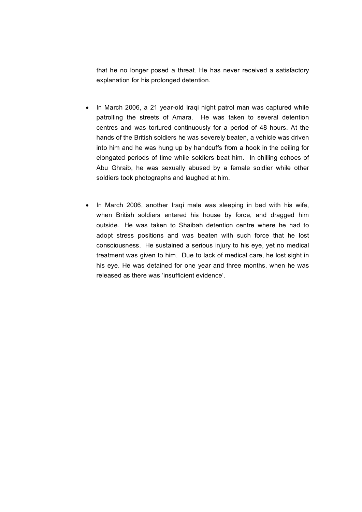that he no longer posed a threat. He has never received a satisfactory explanation for his prolonged detention.

- In March 2006, a 21 year-old Iraqi night patrol man was captured while patrolling the streets of Amara. He was taken to several detention centres and was tortured continuously for a period of 48 hours. At the hands of the British soldiers he was severely beaten, a vehicle was driven into him and he was hung up by handcuffs from a hook in the ceiling for elongated periods of time while soldiers beat him. In chilling echoes of Abu Ghraib, he was sexually abused by a female soldier while other soldiers took photographs and laughed at him.
- · In March 2006, another Iraqi male was sleeping in bed with his wife, when British soldiers entered his house by force, and dragged him outside. He was taken to Shaibah detention centre where he had to adopt stress positions and was beaten with such force that he lost consciousness. He sustained a serious injury to his eye, yet no medical treatment was given to him. Due to lack of medical care, he lost sight in his eye. He was detained for one year and three months, when he was released as there was 'insufficient evidence'.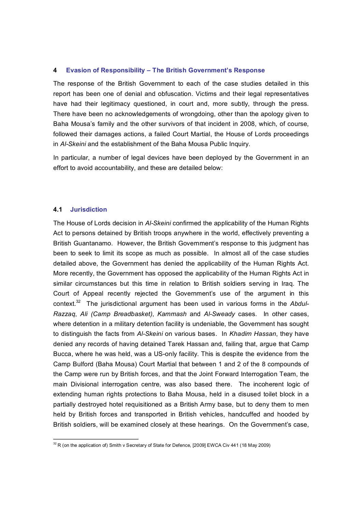#### **4 Evasion of Responsibility – The British Government's Response**

The response of the British Government to each of the case studies detailed in this report has been one of denial and obfuscation. Victims and their legal representatives have had their legitimacy questioned, in court and, more subtly, through the press. There have been no acknowledgements of wrongdoing, other than the apology given to Baha Mousa's family and the other survivors of that incident in 2008, which, of course, followed their damages actions, a failed Court Martial, the House of Lords proceedings in *AlSkeini* and the establishment of the Baha Mousa Public Inquiry.

In particular, a number of legal devices have been deployed by the Government in an effort to avoid accountability, and these are detailed below:

#### **4.1 Jurisdiction**

The House of Lords decision in *AlSkeini* confirmed the applicability of the Human Rights Act to persons detained by British troops anywhere in the world, effectively preventing a British Guantanamo. However, the British Government's response to this judgment has been to seek to limit its scope as much as possible. In almost all of the case studies detailed above, the Government has denied the applicability of the Human Rights Act. More recently, the Government has opposed the applicability of the Human Rights Act in similar circumstances but this time in relation to British soldiers serving in Iraq. The Court of Appeal recently rejected the Government's use of the argument in this context.<sup>32</sup> The jurisdictional argument has been used in various forms in the *Abdul Razzaq*, *Ali (Camp Breadbasket)*, *Kammash* and *AlSweady* cases. In other cases, where detention in a military detention facility is undeniable, the Government has sought to distinguish the facts from *AlSkeini* on various bases. In *Khadim Hassan*, they have denied any records of having detained Tarek Hassan and, failing that, argue that Camp Bucca, where he was held, was a US-only facility. This is despite the evidence from the Camp Bulford (Baha Mousa) Court Martial that between 1 and 2 of the 8 compounds of the Camp were run by British forces, and that the Joint Forward Interrogation Team, the main Divisional interrogation centre, was also based there. The incoherent logic of extending human rights protections to Baha Mousa, held in a disused toilet block in a partially destroyed hotel requisitioned as a British Army base, but to deny them to men held by British forces and transported in British vehicles, handcuffed and hooded by British soldiers, will be examined closely at these hearings. On the Government's case,

<sup>&</sup>lt;sup>32</sup> R (on the application of) Smith v Secretary of State for Defence, [2009] EWCA Civ 441 (18 May 2009)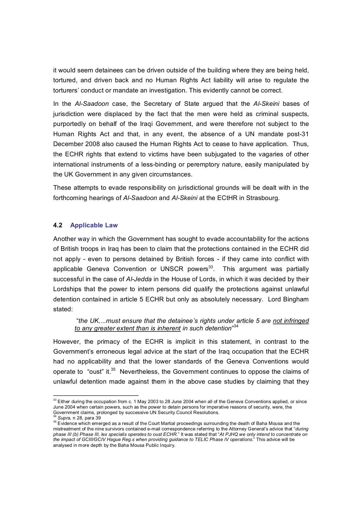it would seem detainees can be driven outside of the building where they are being held, tortured, and driven back and no Human Rights Act liability will arise to regulate the torturers' conduct or mandate an investigation. This evidently cannot be correct.

In the *AlSaadoon* case, the Secretary of State argued that the *AlSkeini* bases of jurisdiction were displaced by the fact that the men were held as criminal suspects, purportedly on behalf of the Iraqi Government, and were therefore not subject to the Human Rights Act and that, in any event, the absence of a UN mandate post-31 December 2008 also caused the Human Rights Act to cease to have application. Thus, the ECHR rights that extend to victims have been subjugated to the vagaries of other international instruments of a less-binding or peremptory nature, easily manipulated by the UK Government in any given circumstances.

These attempts to evade responsibility on jurisdictional grounds will be dealt with in the forthcoming hearings of Al-Saadoon and Al-Skeini at the ECtHR in Strasbourg.

#### **4.2 Applicable Law**

Another way in which the Government has sought to evade accountability for the actions of British troops in Iraq has been to claim that the protections contained in the ECHR did not apply - even to persons detained by British forces - if they came into conflict with applicable Geneva Convention or UNSCR powers<sup>33</sup>. This argument was partially successful in the case of *AlJedda* in the House of Lords, in which it was decided by their Lordships that the power to intern persons did qualify the protections against unlawful detention contained in article 5 ECHR but only as absolutely necessary. Lord Bingham stated:

"*the UK....must ensure that the detainee's rights under article 5 are not infringed to any greater extent than is inherent in such detention*"<sup>34</sup>

However, the primacy of the ECHR is implicit in this statement, in contrast to the Government's erroneous legal advice at the start of the Iraq occupation that the ECHR had no applicability and that the lower standards of the Geneva Conventions would operate to "oust" it.<sup>35</sup> Nevertheless, the Government continues to oppose the claims of unlawful detention made against them in the above case studies by claiming that they

<sup>&</sup>lt;sup>33</sup> Either during the occupation from c. 1 May 2003 to 28 June 2004 when all of the Geneva Conventions applied, or since June 2004 when certain powers, such as the power to detain persons for imperative reasons of security, were, the Government claims, prolonged by successive UN Security Council Resolutions. <sup>34</sup> *Supra,* n 28, para <sup>39</sup>

<sup>&</sup>lt;sup>35</sup> Evidence which emerged as a result of the Court Martial proceedings surrounding the death of Baha Mousa and the mistreatment of the nine survivors contained email correspondence referring to the Attorney General's advice that "*during phase III (b) Phase III, lex specialis operates to oust ECHR.*" It was stated that "*At PJHQ we only intend to concentrate on the impact of GCIII/GCIV Hague Reg.s when providing guidance to TELIC Phase IV operations*." This advice will be analysed in more depth by the Baha Mousa Public Inquiry.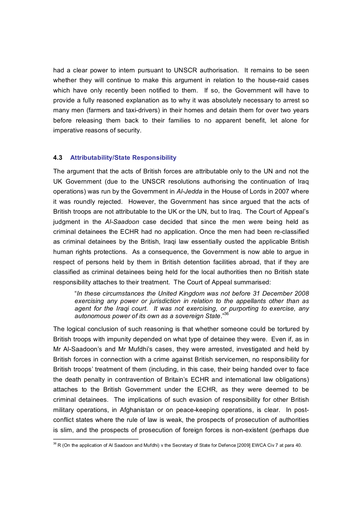had a clear power to intern pursuant to UNSCR authorisation. It remains to be seen whether they will continue to make this argument in relation to the house-raid cases which have only recently been notified to them. If so, the Government will have to provide a fully reasoned explanation as to why it was absolutely necessary to arrest so many men (farmers and taxi-drivers) in their homes and detain them for over two years before releasing them back to their families to no apparent benefit, let alone for imperative reasons of security.

#### **4.3 Attributability/State Responsibility**

The argument that the acts of British forces are attributable only to the UN and not the UK Government (due to the UNSCR resolutions authorising the continuation of Iraq operations) was run by the Government in *AlJedda* in the House of Lords in 2007 where it was roundly rejected. However, the Government has since argued that the acts of British troops are not attributable to the UK or the UN, but to Iraq. The Court of Appeal's judgment in the *AlSaadoon* case decided that since the men were being held as criminal detainees the ECHR had no application. Once the men had been reclassified as criminal detainees by the British, Iraqi law essentially ousted the applicable British human rights protections. As a consequence, the Government is now able to argue in respect of persons held by them in British detention facilities abroad, that if they are classified as criminal detainees being held for the local authorities then no British state responsibility attaches to their treatment. The Court of Appeal summarised:

"*In these circumstances the United Kingdom was not before 31 December 2008 exercising any power or jurisdiction in relation to the appellants other than as agent for the Iraqi court. It was not exercising, or purporting to exercise, any autonomous power of its own as a sovereign State*." <sup>36</sup>

The logical conclusion of such reasoning is that whether someone could be tortured by British troops with impunity depended on what type of detainee they were. Even if, as in Mr Al-Saadoon's and Mr Mufdhi's cases, they were arrested, investigated and held by British forces in connection with a crime against British servicemen, no responsibility for British troops' treatment of them (including, in this case, their being handed over to face the death penalty in contravention of Britain's ECHR and international law obligations) attaches to the British Government under the ECHR, as they were deemed to be criminal detainees. The implications of such evasion of responsibility for other British military operations, in Afghanistan or on peace-keeping operations, is clear. In postconflict states where the rule of law is weak, the prospects of prosecution of authorities is slim, and the prospects of prosecution of foreign forces is nonexistent (perhaps due

<sup>&</sup>lt;sup>36</sup> R (On the application of Al Saadoon and Mufdhi) v the Secretary of State for Defence [2009] EWCA Civ 7 at para 40.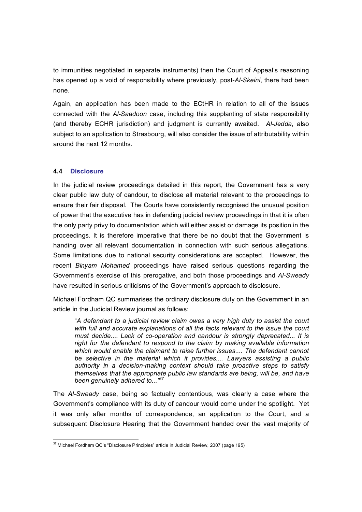to immunities negotiated in separate instruments) then the Court of Appeal's reasoning has opened up a void of responsibility where previously, post-Al-Skeini, there had been none.

Again, an application has been made to the ECtHR in relation to all of the issues connected with the *AlSaadoon* case, including this supplanting of state responsibility (and thereby ECHR jurisdiction) and judgment is currently awaited. *AlJedda*, also subject to an application to Strasbourg, will also consider the issue of attributability within around the next 12 months.

#### **4.4 Disclosure**

In the judicial review proceedings detailed in this report, the Government has a very clear public law duty of candour, to disclose all material relevant to the proceedings to ensure their fair disposal. The Courts have consistently recognised the unusual position of power that the executive has in defending judicial review proceedings in that it is often the only party privy to documentation which will either assist or damage its position in the proceedings. It is therefore imperative that there be no doubt that the Government is handing over all relevant documentation in connection with such serious allegations. Some limitations due to national security considerations are accepted. However, the recent *Binyam Mohamed* proceedings have raised serious questions regarding the Government's exercise of this prerogative, and both those proceedings and *AlSweady* have resulted in serious criticisms of the Government's approach to disclosure.

Michael Fordham QC summarises the ordinary disclosure duty on the Government in an article in the Judicial Review journal as follows:

"*A defendant to a judicial review claim owes a very high duty to assist the court with full and accurate explanations of all the facts relevant to the issue the court must decide.... Lack of cooperation and candour is strongly deprecated... It is right for the defendant to respond to the claim by making available information which would enable the claimant to raise further issues.... The defendant cannot be selective in the material which it provides.... Lawyers assisting a public authority in* a *decision-making context should take proactive steps to satisfy themselves that the appropriate public law standards are being, will be, and have been genuinely adhered to..."<sup>37</sup>*

The *AlSweady* case, being so factually contentious, was clearly a case where the Government's compliance with its duty of candour would come under the spotlight. Yet it was only after months of correspondence, an application to the Court, and a subsequent Disclosure Hearing that the Government handed over the vast majority of

<sup>&</sup>lt;sup>37</sup> Michael Fordham QC's "Disclosure Principles" article in Judicial Review, 2007 (page 195)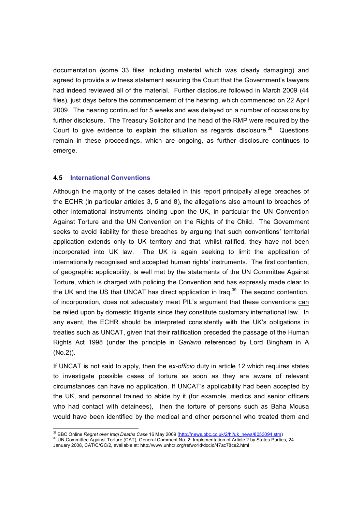documentation (some 33 files including material which was clearly damaging) and agreed to provide a witness statement assuring the Court that the Government's lawyers had indeed reviewed all of the material. Further disclosure followed in March 2009 (44 files), just days before the commencement of the hearing, which commenced on 22 April 2009. The hearing continued for 5 weeks and was delayed on a number of occasions by further disclosure. The Treasury Solicitor and the head of the RMP were required by the Court to give evidence to explain the situation as regards disclosure.<sup>38</sup> Questions remain in these proceedings, which are ongoing, as further disclosure continues to emerge.

#### **4.5 International Conventions**

Although the majority of the cases detailed in this report principally allege breaches of the ECHR (in particular articles 3, 5 and 8), the allegations also amount to breaches of other international instruments binding upon the UK, in particular the UN Convention Against Torture and the UN Convention on the Rights of the Child. The Government seeks to avoid liability for these breaches by arguing that such conventions' territorial application extends only to UK territory and that, whilst ratified, they have not been incorporated into UK law. The UK is again seeking to limit the application of internationally recognised and accepted human rights' instruments. The first contention, of geographic applicability, is well met by the statements of the UN Committee Against Torture, which is charged with policing the Convention and has expressly made clear to the UK and the US that UNCAT has direct application in Iraq. $39$  The second contention, of incorporation, does not adequately meet PIL's argument that these conventions can be relied upon by domestic litigants since they constitute customary international law. In any event, the ECHR should be interpreted consistently with the UK's obligations in treaties such as UNCAT, given that their ratification preceded the passage of the Human Rights Act 1998 (under the principle in *Garland* referenced by Lord Bingham in A (No.2)).

If UNCAT is not said to apply, then the *ex-officio* duty in article 12 which requires states to investigate possible cases of torture as soon as they are aware of relevant circumstances can have no application. If UNCAT's applicability had been accepted by the UK, and personnel trained to abide by it (for example, medics and senior officers who had contact with detainees), then the torture of persons such as Baha Mousa would have been identified by the medical and other personnel who treated them and

<sup>&</sup>lt;sup>38</sup> BBC Online *Regret over Iraqi Deaths Case* 16 May 2009 ([http://news.bbc.co.uk/2/hi/uk\\_news/8053094.stm\)](http://news.bbc.co.uk/2/hi/uk_news/8053094.stm) <sup>39</sup> UN Committee Against Torture (CAT), General Comment No. 2: Implementation of Article 2 by States Parties, 24 January 2008, CAT/C/GC/2, available at: http://www.unhcr.org/refworld/docid/47ac78ce2.html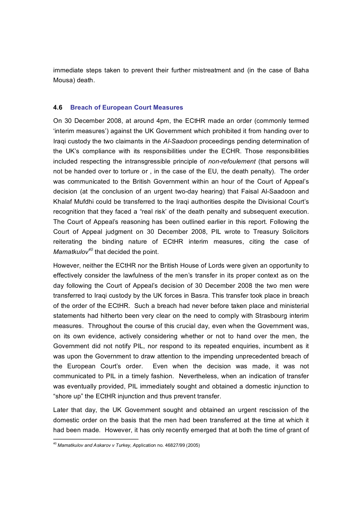immediate steps taken to prevent their further mistreatment and (in the case of Baha Mousa) death.

#### **4.6 Breach of European Court Measures**

On 30 December 2008, at around 4pm, the ECtHR made an order (commonly termed 'interim measures') against the UK Government which prohibited it from handing over to Iraqi custody the two claimants in the *AlSaadoon* proceedings pending determination of the UK's compliance with its responsibilities under the ECHR. Those responsibilities included respecting the intransgressible principle of *nonrefoulement* (that persons will not be handed over to torture or , in the case of the EU, the death penalty). The order was communicated to the British Government within an hour of the Court of Appeal's decision (at the conclusion of an urgent two-day hearing) that Faisal Al-Saadoon and Khalaf Mufdhi could be transferred to the Iraqi authorities despite the Divisional Court's recognition that they faced a "real risk' of the death penalty and subsequent execution. The Court of Appeal's reasoning has been outlined earlier in this report. Following the Court of Appeal judgment on 30 December 2008, PIL wrote to Treasury Solicitors reiterating the binding nature of ECtHR interim measures, citing the case of *Mamatkulov<sup>40</sup>* that decided the point.

However, neither the ECtHR nor the British House of Lords were given an opportunity to effectively consider the lawfulness of the men's transfer in its proper context as on the day following the Court of Appeal's decision of 30 December 2008 the two men were transferred to Iraqi custody by the UK forces in Basra. This transfer took place in breach of the order of the ECtHR. Such a breach had never before taken place and ministerial statements had hitherto been very clear on the need to comply with Strasbourg interim measures. Throughout the course of this crucial day, even when the Government was, on its own evidence, actively considering whether or not to hand over the men, the Government did not notify PIL, nor respond to its repeated enquiries, incumbent as it was upon the Government to draw attention to the impending unprecedented breach of the European Court's order. Even when the decision was made, it was not communicated to PIL in a timely fashion. Nevertheless, when an indication of transfer was eventually provided, PIL immediately sought and obtained a domestic injunction to "shore up" the ECtHR injunction and thus prevent transfer.

Later that day, the UK Government sought and obtained an urgent rescission of the domestic order on the basis that the men had been transferred at the time at which it had been made. However, it has only recently emerged that at both the time of grant of

<sup>40</sup> *Mamatkulov and Askarov v Turkey, A*pplication no. 46827/99 (2005)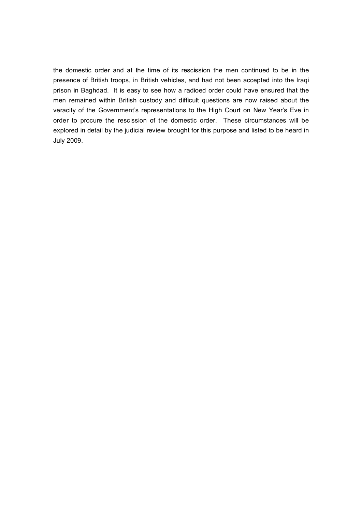the domestic order and at the time of its rescission the men continued to be in the presence of British troops, in British vehicles, and had not been accepted into the Iraqi prison in Baghdad. It is easy to see how a radioed order could have ensured that the men remained within British custody and difficult questions are now raised about the veracity of the Government's representations to the High Court on New Year's Eve in order to procure the rescission of the domestic order. These circumstances will be explored in detail by the judicial review brought for this purpose and listed to be heard in July 2009.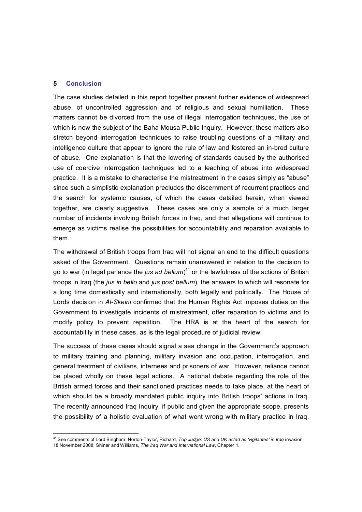#### **5 Conclusion**

The case studies detailed in this report together present further evidence of widespread abuse, of uncontrolled aggression and of religious and sexual humiliation. These matters cannot be divorced from the use of illegal interrogation techniques, the use of which is now the subject of the Baha Mousa Public Inquiry. However, these matters also stretch beyond interrogation techniques to raise troubling questions of a military and intelligence culture that appear to ignore the rule of law and fostered an in-bred culture of abuse. One explanation is that the lowering of standards caused by the authorised use of coercive interrogation techniques led to a leaching of abuse into widespread practice. It is a mistake to characterise the mistreatment in the cases simply as "abuse" since such a simplistic explanation precludes the discernment of recurrent practices and the search for systemic causes, of which the cases detailed herein, when viewed together, are clearly suggestive. These cases are only a sample of a much larger number of incidents involving British forces in Iraq, and that allegations will continue to emerge as victims realise the possibilities for accountability and reparation available to them.

The withdrawal of British troops from Iraq will not signal an end to the difficult questions asked of the Government. Questions remain unanswered in relation to the decision to go to war (in legal parlance the *jus ad bellum*)<sup>41</sup> or the lawfulness of the actions of British troops in Iraq (the *jus in bello* and *jus post bellum*), the answers to which will resonate for a long time domestically and internationally, both legally and politically. The House of Lords decision in *AlSkeini* confirmed that the Human Rights Act imposes duties on the Government to investigate incidents of mistreatment, offer reparation to victims and to modify policy to prevent repetition. The HRA is at the heart of the search for accountability in these cases, as is the legal procedure of judicial review.

The success of these cases should signal a sea change in the Government's approach to military training and planning, military invasion and occupation, interrogation, and general treatment of civilians, internees and prisoners of war. However, reliance cannot be placed wholly on these legal actions. A national debate regarding the role of the British armed forces and their sanctioned practices needs to take place, at the heart of which should be a broadly mandated public inquiry into British troops' actions in Iraq. The recently announced Iraq Inquiry, if public and given the appropriate scope, presents the possibility of a holistic evaluation of what went wrong with military practice in Iraq.

<sup>&</sup>lt;sup>41</sup> See comments of Lord Bingham: Norton-Taylor, Richard, Top Judge: US and UK acted as 'vigilantes' in Iraq invasion, 18 November 2008; Shiner and Williams, *The Iraq War and International Law*, Chapter 1.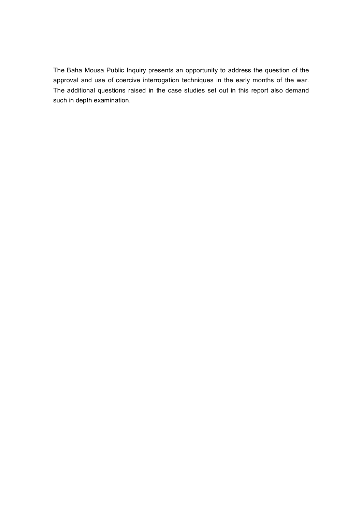The Baha Mousa Public Inquiry presents an opportunity to address the question of the approval and use of coercive interrogation techniques in the early months of the war. The additional questions raised in the case studies set out in this report also demand such in depth examination.